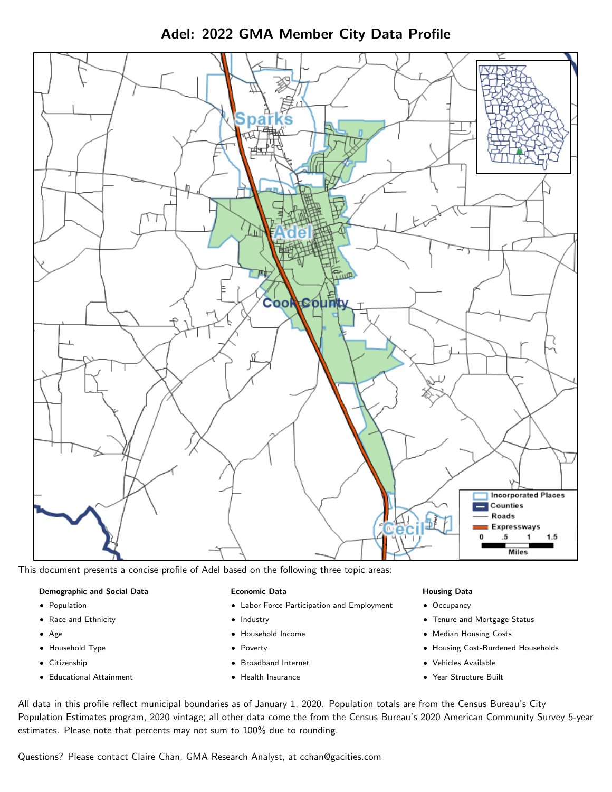Adel: 2022 GMA Member City Data Profile



This document presents a concise profile of Adel based on the following three topic areas:

#### Demographic and Social Data

- **•** Population
- Race and Ethnicity
- Age
- Household Type
- **Citizenship**
- Educational Attainment

## Economic Data

- Labor Force Participation and Employment
- Industry
- Household Income
- Poverty
- Broadband Internet
- Health Insurance

#### Housing Data

- Occupancy
- Tenure and Mortgage Status
- Median Housing Costs
- Housing Cost-Burdened Households
- Vehicles Available
- Year Structure Built

All data in this profile reflect municipal boundaries as of January 1, 2020. Population totals are from the Census Bureau's City Population Estimates program, 2020 vintage; all other data come the from the Census Bureau's 2020 American Community Survey 5-year estimates. Please note that percents may not sum to 100% due to rounding.

Questions? Please contact Claire Chan, GMA Research Analyst, at [cchan@gacities.com.](mailto:cchan@gacities.com)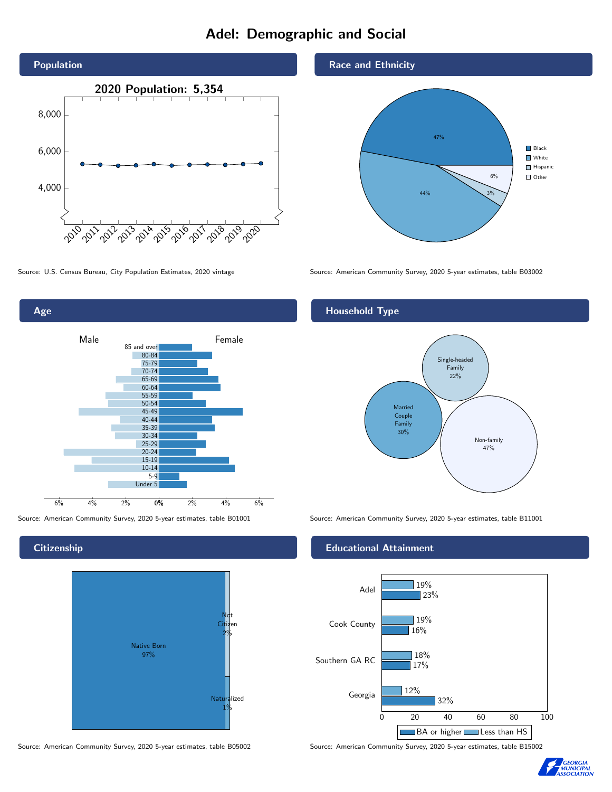# Adel: Demographic and Social





## **Citizenship**



Source: American Community Survey, 2020 5-year estimates, table B05002 Source: American Community Survey, 2020 5-year estimates, table B15002

## Race and Ethnicity



Source: U.S. Census Bureau, City Population Estimates, 2020 vintage Source: American Community Survey, 2020 5-year estimates, table B03002

# Household Type



Source: American Community Survey, 2020 5-year estimates, table B01001 Source: American Community Survey, 2020 5-year estimates, table B11001

## Educational Attainment



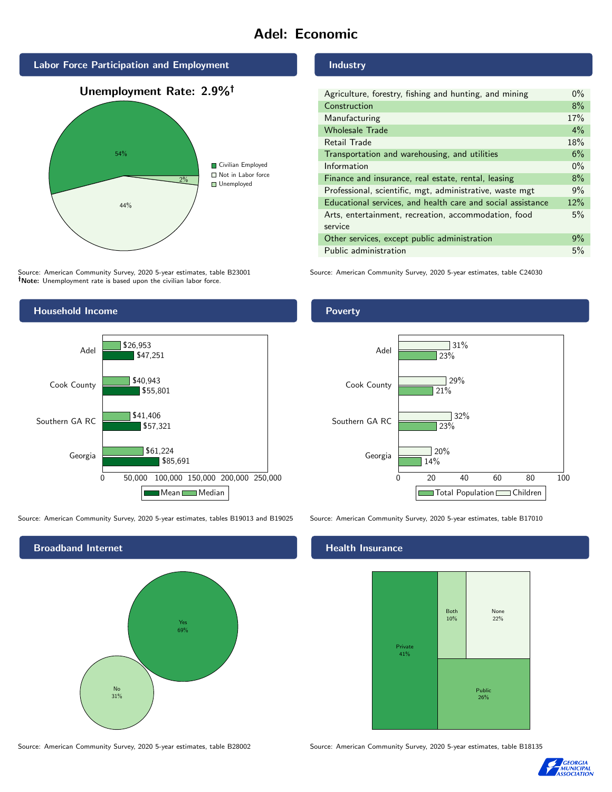# Adel: Economic



Source: American Community Survey, 2020 5-year estimates, table B23001 Note: Unemployment rate is based upon the civilian labor force.

## Industry

| Agriculture, forestry, fishing and hunting, and mining      | $0\%$ |
|-------------------------------------------------------------|-------|
| Construction                                                | 8%    |
| Manufacturing                                               | 17%   |
| <b>Wholesale Trade</b>                                      | $4\%$ |
| Retail Trade                                                | 18%   |
| Transportation and warehousing, and utilities               | 6%    |
| Information                                                 | $0\%$ |
| Finance and insurance, real estate, rental, leasing         | 8%    |
| Professional, scientific, mgt, administrative, waste mgt    | 9%    |
| Educational services, and health care and social assistance | 12%   |
| Arts, entertainment, recreation, accommodation, food        | 5%    |
| service                                                     |       |
| Other services, except public administration                | 9%    |
| Public administration                                       | 5%    |

Source: American Community Survey, 2020 5-year estimates, table C24030



Source: American Community Survey, 2020 5-year estimates, tables B19013 and B19025 Source: American Community Survey, 2020 5-year estimates, table B17010



Poverty



# **Health Insurance**



Source: American Community Survey, 2020 5-year estimates, table B28002 Source: American Community Survey, 2020 5-year estimates, table B18135